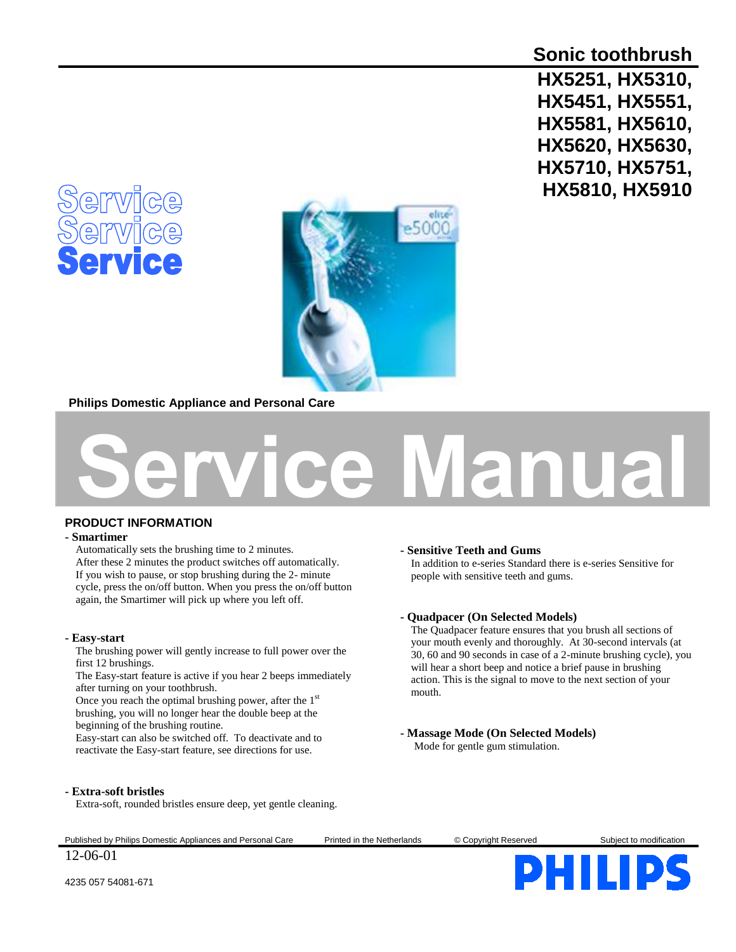# **Sonic toothbrush**

**HX5251, HX5310, HX5451, HX5551, HX5581, HX5610, HX5620, HX5630, HX5710, HX5751, HX5810, HX5910**





**Philips Domestic Appliance and Personal Care**



### **PRODUCT INFORMATION**

#### **- Smartimer**

Automatically sets the brushing time to 2 minutes. After these 2 minutes the product switches off automatically. If you wish to pause, or stop brushing during the 2- minute cycle, press the on/off button. When you press the on/off button again, the Smartimer will pick up where you left off.

#### **- Easy-start**

The brushing power will gently increase to full power over the first 12 brushings.

The Easy-start feature is active if you hear 2 beeps immediately after turning on your toothbrush.

Once you reach the optimal brushing power, after the 1<sup>st</sup> brushing, you will no longer hear the double beep at the beginning of the brushing routine.

Easy-start can also be switched off. To deactivate and to reactivate the Easy-start feature, see directions for use.

#### **- Sensitive Teeth and Gums**

In addition to e-series Standard there is e-series Sensitive for people with sensitive teeth and gums.

#### **- Quadpacer (On Selected Models)**

The Quadpacer feature ensures that you brush all sections of your mouth evenly and thoroughly. At 30-second intervals (at 30, 60 and 90 seconds in case of a 2-minute brushing cycle), you will hear a short beep and notice a brief pause in brushing action. This is the signal to move to the next section of your mouth.

## **- Massage Mode (On Selected Models)**

Mode for gentle gum stimulation.

#### **- Extra-soft bristles**

Extra-soft, rounded bristles ensure deep, yet gentle cleaning.

Published by Philips Domestic Appliances and Personal Care Printed in the Netherlands © Copyright Reserved Subject to modification



4235 057 54081-671

12-06-01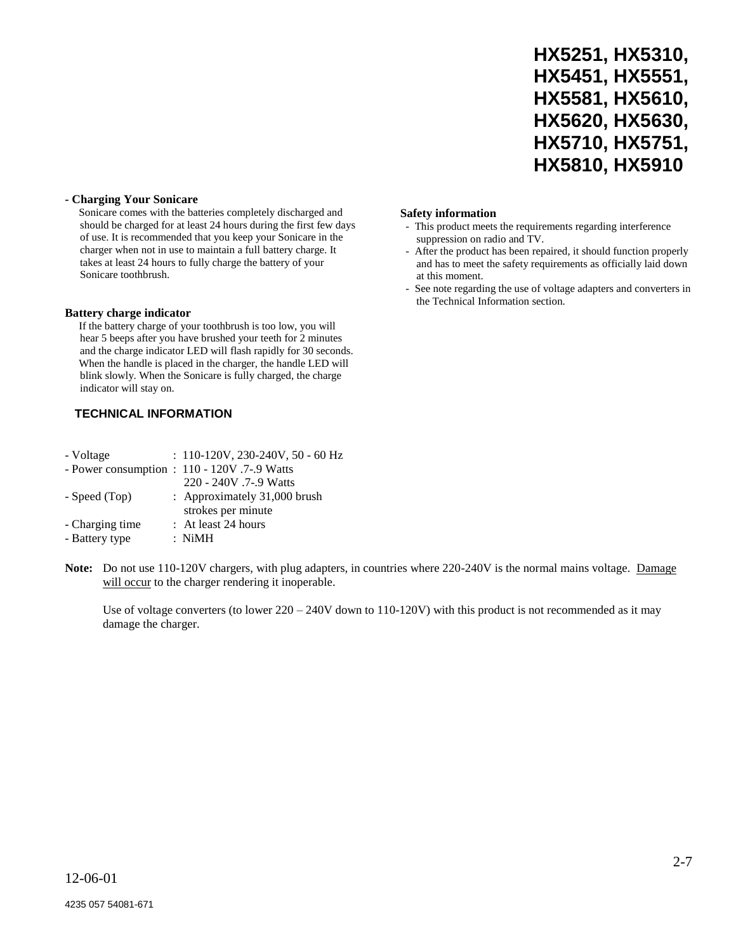|                | HX5251, HX5310. |
|----------------|-----------------|
|                | HX5451, HX5551. |
|                | HX5581, HX5610, |
|                | HX5620, HX5630, |
|                | HX5710, HX5751. |
| HX5810. HX5910 |                 |

## **- Charging Your Sonicare**

Sonicare comes with the batteries completely discharged and should be charged for at least 24 hours during the first few days of use. It is recommended that you keep your Sonicare in the charger when not in use to maintain a full battery charge. It takes at least 24 hours to fully charge the battery of your Sonicare toothbrush.

## **Battery charge indicator**

If the battery charge of your toothbrush is too low, you will hear 5 beeps after you have brushed your teeth for 2 minutes and the charge indicator LED will flash rapidly for 30 seconds. When the handle is placed in the charger, the handle LED will blink slowly. When the Sonicare is fully charged, the charge indicator will stay on.

## **TECHNICAL INFORMATION**

| - Voltage       | $: 110-120V, 230-240V, 50 - 60 Hz$           |
|-----------------|----------------------------------------------|
|                 | - Power consumption : 110 - 120V .7-.9 Watts |
|                 | 220 - 240V .7-.9 Watts                       |
| - Speed (Top)   | : Approximately 31,000 brush                 |
|                 | strokes per minute                           |
| - Charging time | : At least 24 hours                          |
| - Battery type  | $:$ NiMH                                     |

#### **Safety information**

- This product meets the requirements regarding interference suppression on radio and TV.
- After the product has been repaired, it should function properly and has to meet the safety requirements as officially laid down at this moment.
- See note regarding the use of voltage adapters and converters in the Technical Information section.

Note: Do not use 110-120V chargers, with plug adapters, in countries where 220-240V is the normal mains voltage. Damage will occur to the charger rendering it inoperable.

Use of voltage converters (to lower 220 – 240V down to 110-120V) with this product is not recommended as it may damage the charger.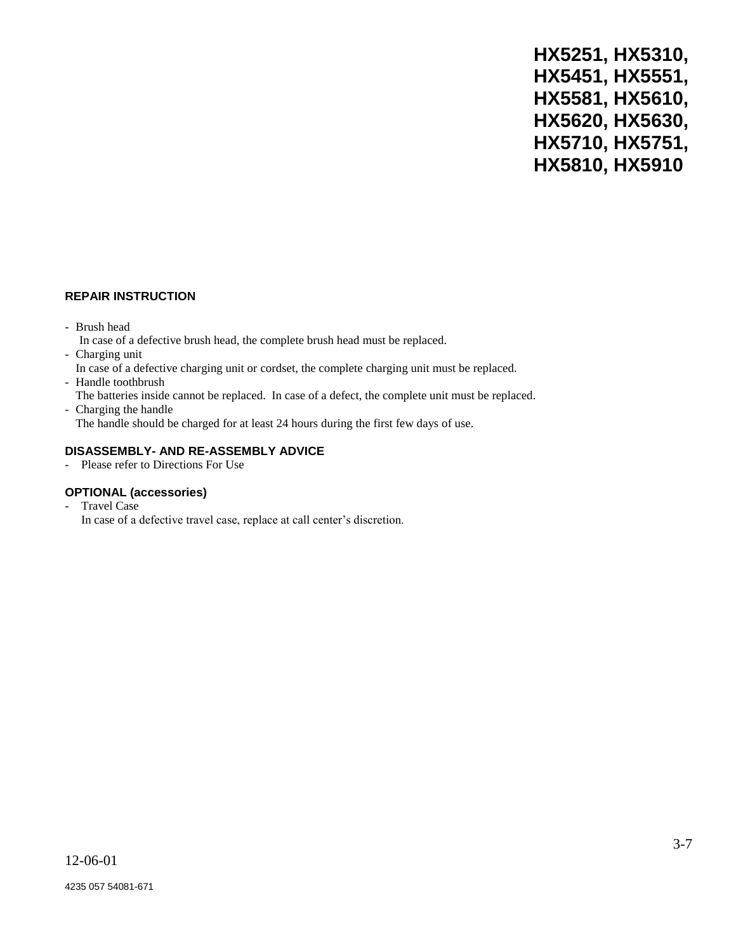### **REPAIR INSTRUCTION**

- Brush head
	- In case of a defective brush head, the complete brush head must be replaced.
- Charging unit
- In case of a defective charging unit or cordset, the complete charging unit must be replaced.
- Handle toothbrush
- The batteries inside cannot be replaced. In case of a defect, the complete unit must be replaced.
- Charging the handle The handle should be charged for at least 24 hours during the first few days of use.

## **DISASSEMBLY- AND RE-ASSEMBLY ADVICE**

- Please refer to Directions For Use

### **OPTIONAL (accessories)**

- Travel Case
	- In case of a defective travel case, replace at call center's discretion.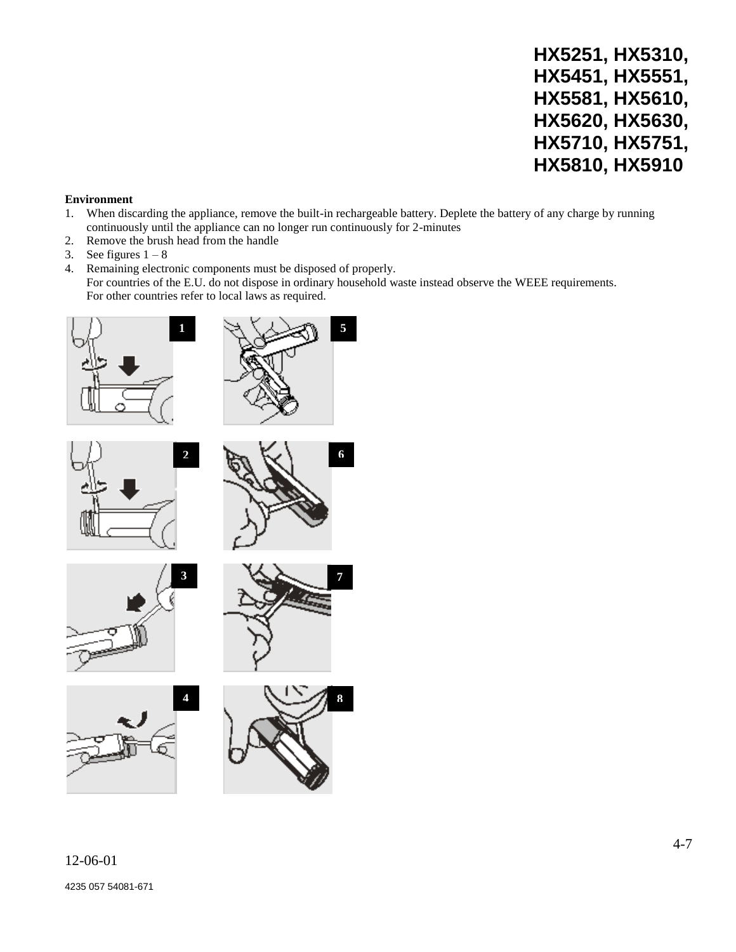#### **Environment**

- 1. When discarding the appliance, remove the built-in rechargeable battery. Deplete the battery of any charge by running continuously until the appliance can no longer run continuously for 2-minutes
- 2. Remove the brush head from the handle
- 3. See figures  $1 8$
- 4. Remaining electronic components must be disposed of properly. For countries of the E.U. do not dispose in ordinary household waste instead observe the WEEE requirements. For other countries refer to local laws as required.

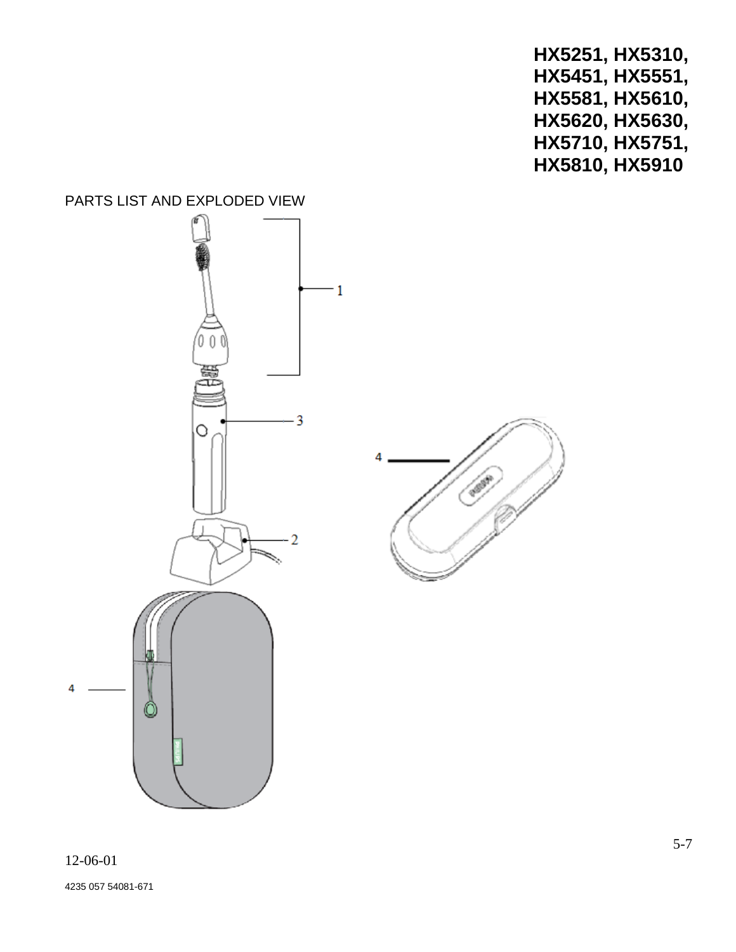## PARTS LIST AND EXPLODED VIEW

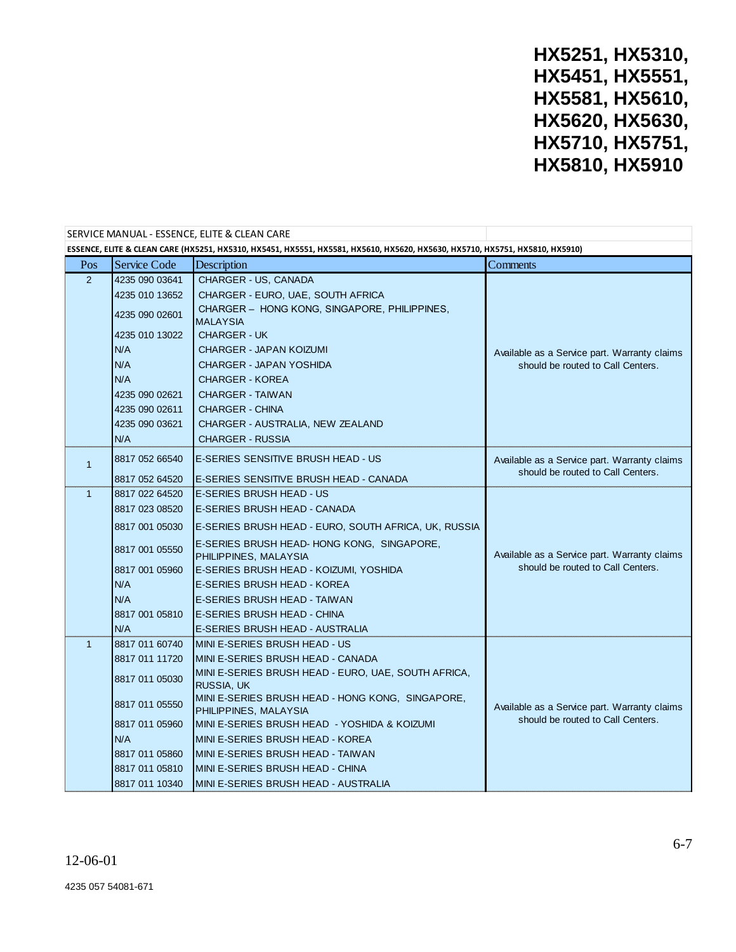| SERVICE MANUAL - ESSENCE, ELITE & CLEAN CARE                                                                                 |                                                                                             |                                                                    |                                                                                   |  |  |
|------------------------------------------------------------------------------------------------------------------------------|---------------------------------------------------------------------------------------------|--------------------------------------------------------------------|-----------------------------------------------------------------------------------|--|--|
| ESSENCE, ELITE & CLEAN CARE (HX5251, HX5310, HX5451, HX5551, HX5581, HX5610, HX5620, HX5630, HX5710, HX5751, HX5810, HX5910) |                                                                                             |                                                                    |                                                                                   |  |  |
| Pos                                                                                                                          | <b>Service Code</b>                                                                         | Description                                                        | Comments                                                                          |  |  |
| 2                                                                                                                            | 4235 090 03641                                                                              | CHARGER - US, CANADA                                               |                                                                                   |  |  |
|                                                                                                                              | 4235 010 13652                                                                              | CHARGER - EURO, UAE, SOUTH AFRICA                                  |                                                                                   |  |  |
|                                                                                                                              | 4235 090 02601                                                                              | CHARGER - HONG KONG, SINGAPORE, PHILIPPINES,<br><b>MALAYSIA</b>    | Available as a Service part. Warranty claims<br>should be routed to Call Centers. |  |  |
|                                                                                                                              | 4235 010 13022                                                                              | <b>CHARGER - UK</b>                                                |                                                                                   |  |  |
|                                                                                                                              | N/A                                                                                         | <b>CHARGER - JAPAN KOIZUMI</b>                                     |                                                                                   |  |  |
|                                                                                                                              | N/A                                                                                         | CHARGER - JAPAN YOSHIDA                                            |                                                                                   |  |  |
|                                                                                                                              | N/A                                                                                         | <b>CHARGER - KOREA</b>                                             |                                                                                   |  |  |
|                                                                                                                              | 4235 090 02621                                                                              | <b>CHARGER - TAIWAN</b>                                            |                                                                                   |  |  |
|                                                                                                                              | 4235 090 02611                                                                              | <b>CHARGER - CHINA</b>                                             |                                                                                   |  |  |
|                                                                                                                              | 4235 090 03621                                                                              | CHARGER - AUSTRALIA, NEW ZEALAND                                   |                                                                                   |  |  |
|                                                                                                                              | N/A                                                                                         | <b>CHARGER - RUSSIA</b>                                            |                                                                                   |  |  |
| $\mathbf{1}$                                                                                                                 | 8817 052 66540                                                                              | E-SERIES SENSITIVE BRUSH HEAD - US                                 | Available as a Service part. Warranty claims<br>should be routed to Call Centers. |  |  |
|                                                                                                                              | 8817 052 64520                                                                              | E-SERIES SENSITIVE BRUSH HEAD - CANADA                             |                                                                                   |  |  |
| $\mathbf{1}$                                                                                                                 | 8817 022 64520                                                                              | E-SERIES BRUSH HEAD - US                                           |                                                                                   |  |  |
|                                                                                                                              | 8817 023 08520                                                                              | E-SERIES BRUSH HEAD - CANADA                                       |                                                                                   |  |  |
|                                                                                                                              | 8817 001 05030                                                                              | E-SERIES BRUSH HEAD - EURO, SOUTH AFRICA, UK, RUSSIA               |                                                                                   |  |  |
|                                                                                                                              | 8817 001 05550                                                                              | E-SERIES BRUSH HEAD-HONG KONG, SINGAPORE,<br>PHILIPPINES, MALAYSIA | Available as a Service part. Warranty claims                                      |  |  |
|                                                                                                                              | 8817 001 05960                                                                              | E-SERIES BRUSH HEAD - KOIZUMI, YOSHIDA                             | should be routed to Call Centers.                                                 |  |  |
|                                                                                                                              | N/A                                                                                         | E-SERIES BRUSH HEAD - KOREA                                        |                                                                                   |  |  |
|                                                                                                                              | N/A                                                                                         | E-SERIES BRUSH HEAD - TAIWAN                                       |                                                                                   |  |  |
|                                                                                                                              | 8817 001 05810                                                                              | E-SERIES BRUSH HEAD - CHINA                                        |                                                                                   |  |  |
|                                                                                                                              | N/A                                                                                         | E-SERIES BRUSH HEAD - AUSTRALIA                                    |                                                                                   |  |  |
| $\mathbf{1}$                                                                                                                 | 8817 011 60740                                                                              | MINI E-SERIES BRUSH HEAD - US                                      |                                                                                   |  |  |
|                                                                                                                              | 8817 011 11720                                                                              | MINI E-SERIES BRUSH HEAD - CANADA                                  |                                                                                   |  |  |
|                                                                                                                              | 8817 011 05030                                                                              | MINI E-SERIES BRUSH HEAD - EURO, UAE, SOUTH AFRICA,<br>RUSSIA, UK  |                                                                                   |  |  |
|                                                                                                                              | MINI E-SERIES BRUSH HEAD - HONG KONG, SINGAPORE,<br>8817 011 05550<br>PHILIPPINES, MALAYSIA |                                                                    | Available as a Service part. Warranty claims                                      |  |  |
|                                                                                                                              | 8817 011 05960                                                                              | MINI E-SERIES BRUSH HEAD - YOSHIDA & KOIZUMI                       | should be routed to Call Centers.                                                 |  |  |
|                                                                                                                              | N/A                                                                                         | MINI E-SERIES BRUSH HEAD - KOREA                                   |                                                                                   |  |  |
|                                                                                                                              | 8817 011 05860                                                                              | MINI E-SERIES BRUSH HEAD - TAIWAN                                  |                                                                                   |  |  |
|                                                                                                                              | 8817 011 05810                                                                              | MINI E-SERIES BRUSH HEAD - CHINA                                   |                                                                                   |  |  |
|                                                                                                                              | 8817 011 10340                                                                              | MINI E-SERIES BRUSH HEAD - AUSTRALIA                               |                                                                                   |  |  |